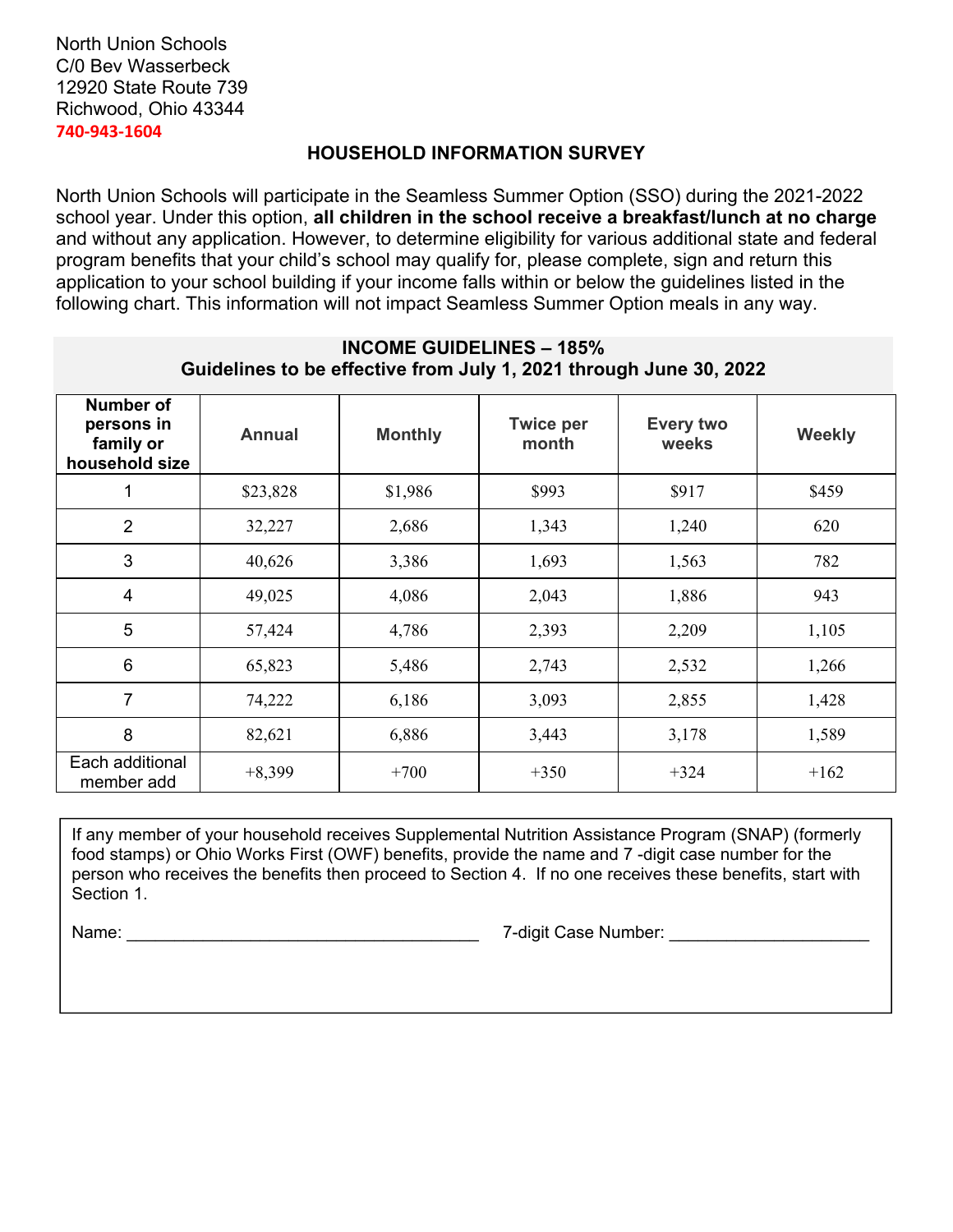### North Union Schools C/0 Bev Wasserbeck 12920 State Route 739 Richwood, Ohio 43344 **740‐943‐1604**

# **HOUSEHOLD INFORMATION SURVEY**

North Union Schools will participate in the Seamless Summer Option (SSO) during the 2021-2022 school year. Under this option, **all children in the school receive a breakfast/lunch at no charge**  and without any application. However, to determine eligibility for various additional state and federal program benefits that your child's school may qualify for, please complete, sign and return this application to your school building if your income falls within or below the guidelines listed in the following chart. This information will not impact Seamless Summer Option meals in any way.

# **INCOME GUIDELINES – 185% Guidelines to be effective from July 1, 2021 through June 30, 2022**

| Number of<br>persons in<br>family or<br>household size | <b>Annual</b> | <b>Monthly</b> | <b>Twice per</b><br>month | <b>Every two</b><br>weeks | <b>Weekly</b> |
|--------------------------------------------------------|---------------|----------------|---------------------------|---------------------------|---------------|
| 1                                                      | \$23,828      | \$1,986        | \$993                     | \$917                     | \$459         |
| $\overline{2}$                                         | 32,227        | 2,686          | 1,343                     | 1,240                     | 620           |
| 3                                                      | 40,626        | 3,386          | 1,693                     | 1,563                     | 782           |
| $\overline{4}$                                         | 49,025        | 4,086          | 2,043                     | 1,886                     | 943           |
| 5                                                      | 57,424        | 4,786          | 2,393                     | 2,209                     | 1,105         |
| 6                                                      | 65,823        | 5,486          | 2,743                     | 2,532                     | 1,266         |
| $\overline{7}$                                         | 74,222        | 6,186          | 3,093                     | 2,855                     | 1,428         |
| 8                                                      | 82,621        | 6,886          | 3,443                     | 3,178                     | 1,589         |
| Each additional<br>member add                          | $+8,399$      | $+700$         | $+350$                    | $+324$                    | $+162$        |

If any member of your household receives Supplemental Nutrition Assistance Program (SNAP) (formerly food stamps) or Ohio Works First (OWF) benefits, provide the name and 7 -digit case number for the person who receives the benefits then proceed to Section 4. If no one receives these benefits, start with Section 1.

Name: \_\_\_\_\_\_\_\_\_\_\_\_\_\_\_\_\_\_\_\_\_\_\_\_\_\_\_\_\_\_\_\_\_\_\_\_\_ 7-digit Case Number: \_\_\_\_\_\_\_\_\_\_\_\_\_\_\_\_\_\_\_\_\_